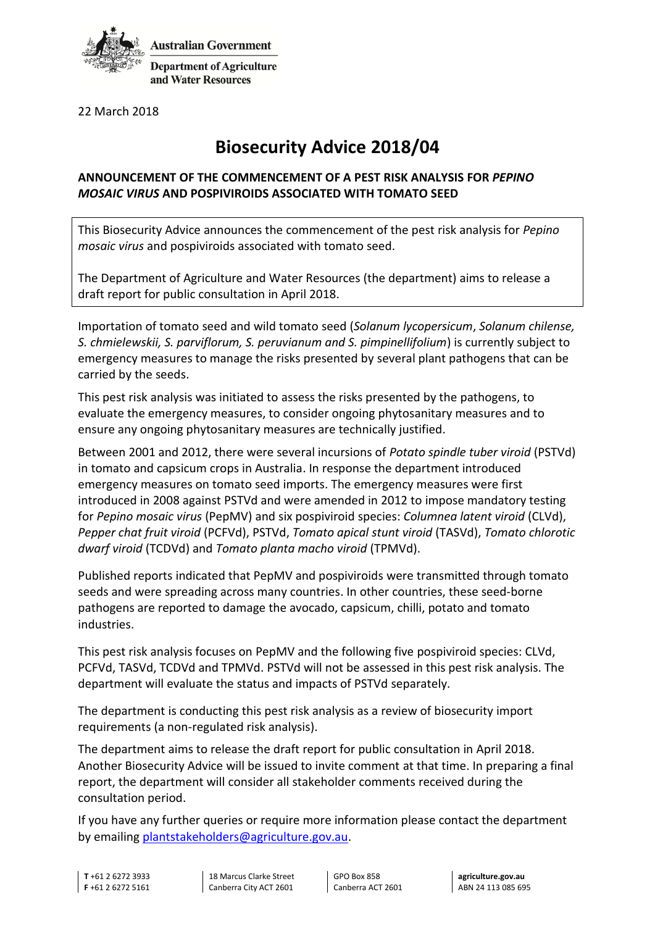

**Department of Agriculture** and Water Resources

22 March 2018

## **Biosecurity Advice 2018/04**

## **ANNOUNCEMENT OF THE COMMENCEMENT OF A PEST RISK ANALYSIS FOR** *PEPINO MOSAIC VIRUS* **AND POSPIVIROIDS ASSOCIATED WITH TOMATO SEED**

This Biosecurity Advice announces the commencement of the pest risk analysis for *Pepino mosaic virus* and pospiviroids associated with tomato seed.

The Department of Agriculture and Water Resources (the department) aims to release a draft report for public consultation in April 2018.

Importation of tomato seed and wild tomato seed (*Solanum lycopersicum*, *Solanum chilense, S. chmielewskii, S. parviflorum, S. peruvianum and S. pimpinellifolium*) is currently subject to emergency measures to manage the risks presented by several plant pathogens that can be carried by the seeds.

This pest risk analysis was initiated to assess the risks presented by the pathogens, to evaluate the emergency measures, to consider ongoing phytosanitary measures and to ensure any ongoing phytosanitary measures are technically justified.

Between 2001 and 2012, there were several incursions of *Potato spindle tuber viroid* (PSTVd) in tomato and capsicum crops in Australia. In response the department introduced emergency measures on tomato seed imports. The emergency measures were first introduced in 2008 against PSTVd and were amended in 2012 to impose mandatory testing for *Pepino mosaic virus* (PepMV) and six pospiviroid species: *Columnea latent viroid* (CLVd), *Pepper chat fruit viroid* (PCFVd), PSTVd, *Tomato apical stunt viroid* (TASVd), *Tomato chlorotic dwarf viroid* (TCDVd) and *Tomato planta macho viroid* (TPMVd).

Published reports indicated that PepMV and pospiviroids were transmitted through tomato seeds and were spreading across many countries. In other countries, these seed-borne pathogens are reported to damage the avocado, capsicum, chilli, potato and tomato industries.

This pest risk analysis focuses on PepMV and the following five pospiviroid species: CLVd, PCFVd, TASVd, TCDVd and TPMVd. PSTVd will not be assessed in this pest risk analysis. The department will evaluate the status and impacts of PSTVd separately.

The department is conducting this pest risk analysis as a review of biosecurity import requirements (a non-regulated risk analysis).

The department aims to release the draft report for public consultation in April 2018. Another Biosecurity Advice will be issued to invite comment at that time. In preparing a final report, the department will consider all stakeholder comments received during the consultation period.

If you have any further queries or require more information please contact the department by emailing [plantstakeholders@agriculture.gov.au.](mailto:plantstakeholders@agriculture.gov.au)

**T** +61 2 6272 3933 **F** +61 2 6272 5161

18 Marcus Clarke Street Canberra City ACT 2601

GPO Box 858 Canberra ACT 2601

**agriculture.gov.au** ABN 24 113 085 695